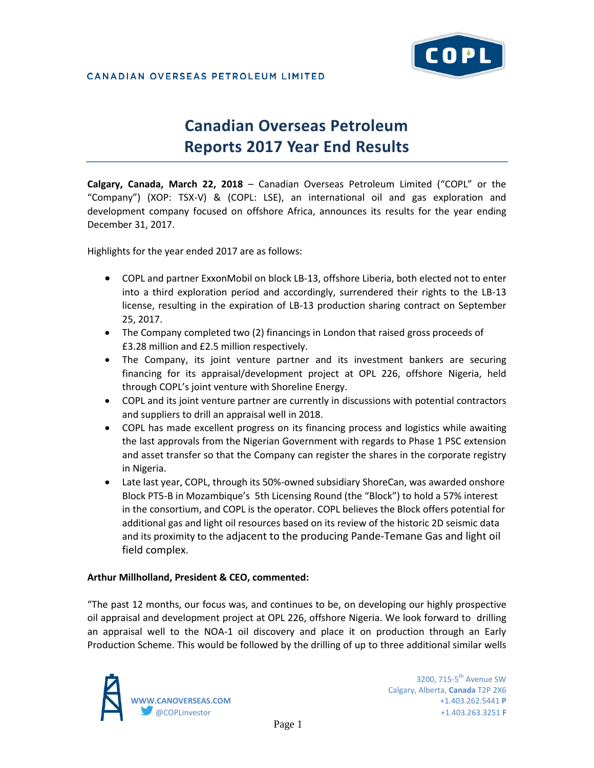

## CANADIAN OVERSEAS PETROLEUM LIMITED

# **Canadian Overseas Petroleum Reports 2017 Year End Results**

**Calgary, Canada, March 22, 2018** – Canadian Overseas Petroleum Limited ("COPL" or the "Company") (XOP: TSX-V) & (COPL: LSE), an international oil and gas exploration and development company focused on offshore Africa, announces its results for the year ending December 31, 2017.

Highlights for the year ended 2017 are as follows:

- COPL and partner ExxonMobil on block LB-13, offshore Liberia, both elected not to enter into a third exploration period and accordingly, surrendered their rights to the LB-13 license, resulting in the expiration of LB-13 production sharing contract on September 25, 2017.
- The Company completed two (2) financings in London that raised gross proceeds of £3.28 million and £2.5 million respectively.
- The Company, its joint venture partner and its investment bankers are securing financing for its appraisal/development project at OPL 226, offshore Nigeria, held through COPL's joint venture with Shoreline Energy.
- COPL and its joint venture partner are currently in discussions with potential contractors and suppliers to drill an appraisal well in 2018.
- COPL has made excellent progress on its financing process and logistics while awaiting the last approvals from the Nigerian Government with regards to Phase 1 PSC extension and asset transfer so that the Company can register the shares in the corporate registry in Nigeria.
- Late last year, COPL, through its 50%-owned subsidiary ShoreCan, was awarded onshore Block PT5-B in Mozambique's 5th Licensing Round (the "Block") to hold a 57% interest in the consortium, and COPL is the operator. COPL believes the Block offers potential for additional gas and light oil resources based on its review of the historic 2D seismic data and its proximity to the adjacent to the producing Pande-Temane Gas and light oil field complex.

## **Arthur Millholland, President & CEO, commented:**

"The past 12 months, our focus was, and continues to be, on developing our highly prospective oil appraisal and development project at OPL 226, offshore Nigeria. We look forward to drilling an appraisal well to the NOA-1 oil discovery and place it on production through an Early Production Scheme. This would be followed by the drilling of up to three additional similar wells

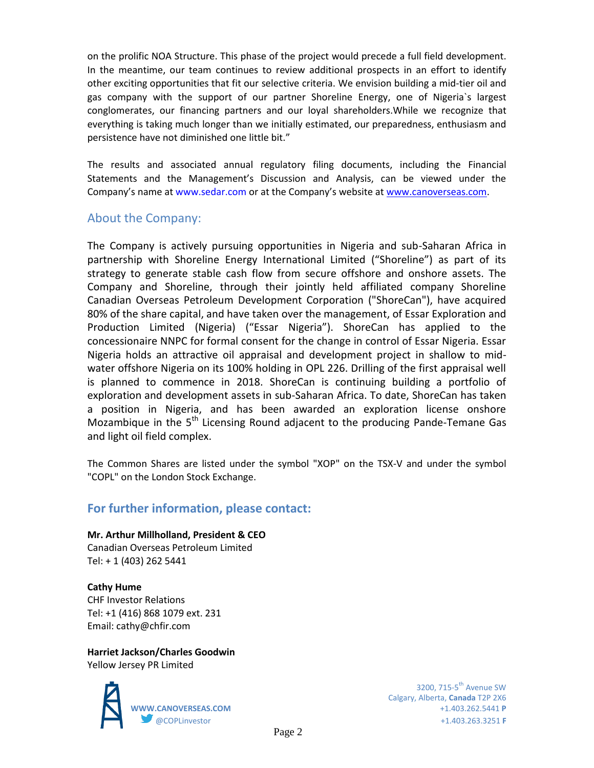on the prolific NOA Structure. This phase of the project would precede a full field development. In the meantime, our team continues to review additional prospects in an effort to identify other exciting opportunities that fit our selective criteria. We envision building a mid-tier oil and gas company with the support of our partner Shoreline Energy, one of Nigeria`s largest conglomerates, our financing partners and our loyal shareholders.While we recognize that everything is taking much longer than we initially estimated, our preparedness, enthusiasm and persistence have not diminished one little bit."

The results and associated annual regulatory filing documents, including the Financial Statements and the Management's Discussion and Analysis, can be viewed under the Company's name at www.sedar.com or at the Company's website at [www.canoverseas.com.](http://www.canoverseas.com/)

## About the Company:

The Company is actively pursuing opportunities in Nigeria and sub-Saharan Africa in partnership with Shoreline Energy International Limited ("Shoreline") as part of its strategy to generate stable cash flow from secure offshore and onshore assets. The Company and Shoreline, through their jointly held affiliated company Shoreline Canadian Overseas Petroleum Development Corporation ("ShoreCan"), have acquired 80% of the share capital, and have taken over the management, of Essar Exploration and Production Limited (Nigeria) ("Essar Nigeria"). ShoreCan has applied to the concessionaire NNPC for formal consent for the change in control of Essar Nigeria. Essar Nigeria holds an attractive oil appraisal and development project in shallow to midwater offshore Nigeria on its 100% holding in OPL 226. Drilling of the first appraisal well is planned to commence in 2018. ShoreCan is continuing building a portfolio of exploration and development assets in sub-Saharan Africa. To date, ShoreCan has taken a position in Nigeria, and has been awarded an exploration license onshore Mozambique in the  $5<sup>th</sup>$  Licensing Round adjacent to the producing Pande-Temane Gas and light oil field complex.

The Common Shares are listed under the symbol "XOP" on the TSX-V and under the symbol "COPL" on the London Stock Exchange.

## **For further information, please contact:**

## **Mr. Arthur Millholland, President & CEO**

Canadian Overseas Petroleum Limited Tel: + 1 (403) 262 5441

**Cathy Hume** CHF Investor Relations Tel: +1 (416) 868 1079 ext. 231 Email: cathy@chfir.com

**Harriet Jackson/Charles Goodwin** Yellow Jersey PR Limited



Calgary, Alberta, **Canada** T2P 2X6 **WWW.CANOVERSEAS.COM** +1.403.262.5441 **P** @COPLinvestor +1.403.263.3251 **F**